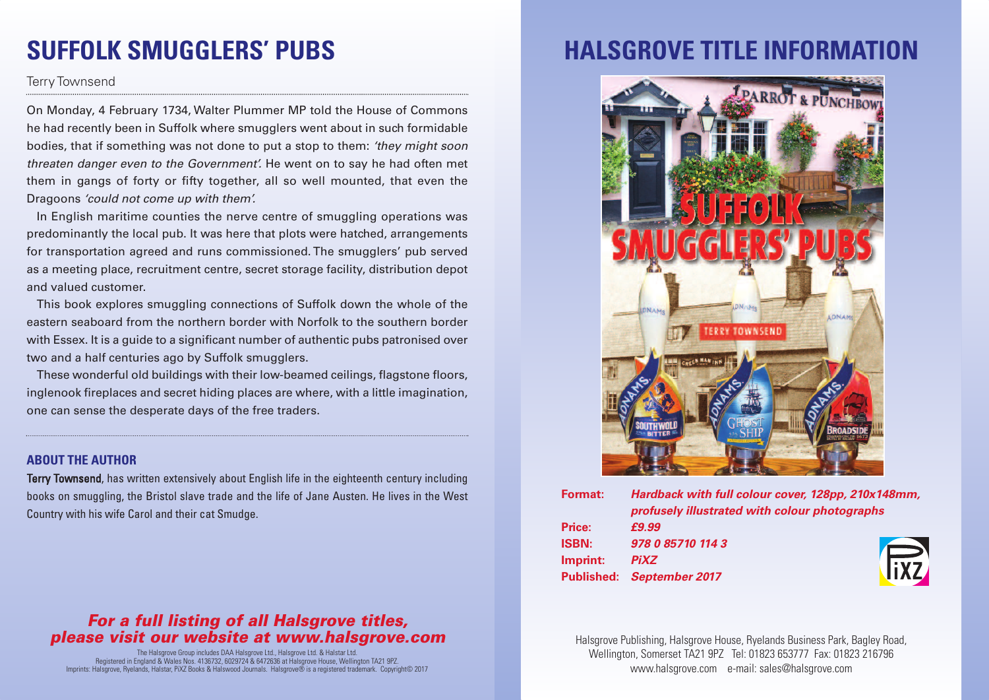# **SUFFOLK SMUGGLERS' PUBS**

#### Terry Townsend

On Monday, 4 February 1734, Walter Plummer MP told the House of Commons he had recently been in Suffolk where smugglers went about in such formidable bodies, that if something was not done to put a stop to them: *'they might soon threaten danger even to the Government'.* He went on to say he had often met them in gangs of forty or fifty together, all so well mounted, that even the Dragoons *'could not come up with them'.*

In English maritime counties the nerve centre of smuggling operations was predominantly the local pub. It was here that plots were hatched, arrangements for transportation agreed and runs commissioned. The smugglers' pub served as a meeting place, recruitment centre, secret storage facility, distribution depot and valued customer.

This book explores smuggling connections of Suffolk down the whole of the eastern seaboard from the northern border with Norfolk to the southern border with Essex. It is a quide to a significant number of authentic pubs patronised over two and a half centuries ago by Suffolk smugglers.

These wonderful old buildings with their low-beamed ceilings, flagstone floors, inglenook fireplaces and secret hiding places are where, with a little imagination, one can sense the desperate days of the free traders.

#### **ABOUT THE AUTHOR**

Terry Townsend, has written extensively about English life in the eighteenth century including books on smuggling, the Bristol slave trade and the life of Jane Austen. He lives in the West Country with his wife Carol and their cat Smudge.

#### *For a full listing of all Halsgrove titles, please visit our website at www.halsgrove.com*

The Halsgrove Group includes DAA Halsgrove Ltd., Halsgrove Ltd. & Halstar Ltd. Registered in England & Wales Nos. 4136732, 6029724 & 6472636 at Halsgrove House, Wellington TA21 9PZ. Imprints: Halsgrove, Ryelands, Halstar, PiXZ Books & Halswood Journals. Halsgrove® is a registered trademark. Copyright© 2017

### **HALSGROVE TITLE INFORMATION**



| <b>Format:</b> | Hardback with full colour cover, 128pp, 210x148mm,<br>profusely illustrated with colour photographs |
|----------------|-----------------------------------------------------------------------------------------------------|
|                |                                                                                                     |
| Price:         | £9.99                                                                                               |
| <b>ISBN:</b>   | 978 0 85710 114 3                                                                                   |
| Imprint:       | <b>Fixz</b><br><b>PiXZ</b>                                                                          |
|                | Published: September 2017                                                                           |
|                |                                                                                                     |

Halsgrove Publishing, Halsgrove House, Ryelands Business Park, Bagley Road, Wellington, Somerset TA21 9PZ Tel: 01823 653777 Fax: 01823 216796 www.halsgrove.com e-mail: sales@halsgrove.com